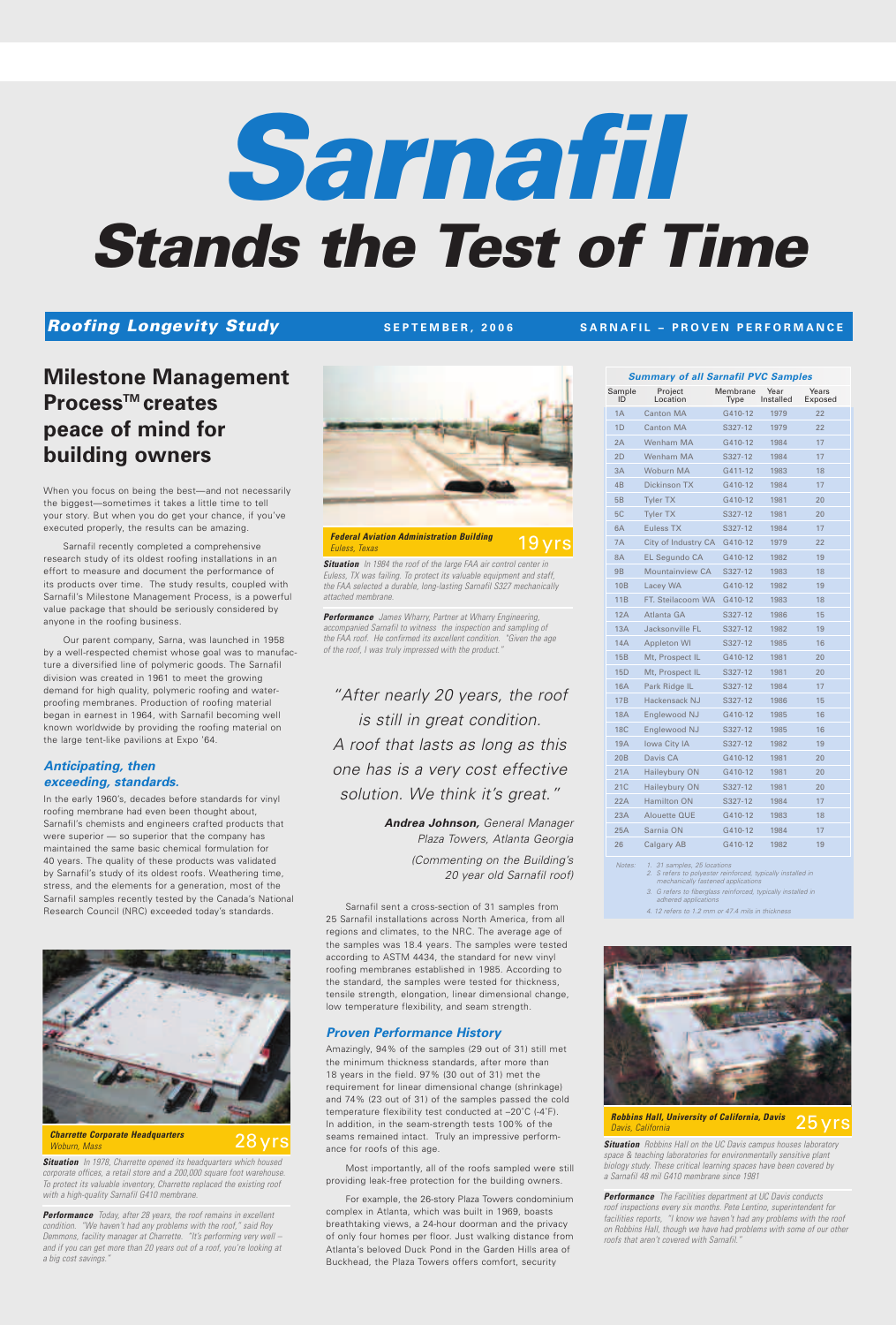# **Milestone Management Process™** creates **peace of mind for building owners**

When you focus on being the best—and not necessarily the biggest—sometimes it takes a little time to tell your story. But when you do get your chance, if you've executed properly, the results can be amazing.

Sarnafil recently completed a comprehensive research study of its oldest roofing installations in an effort to measure and document the performance of its products over time. The study results, coupled with Sarnafil's Milestone Management Process, is a powerful value package that should be seriously considered by anyone in the roofing business.

Our parent company, Sarna, was launched in 1958 by a well-respected chemist whose goal was to manufacture a diversified line of polymeric goods. The Sarnafil division was created in 1961 to meet the growing demand for high quality, polymeric roofing and waterproofing membranes. Production of roofing material began in earnest in 1964, with Sarnafil becoming well known worldwide by providing the roofing material on the large tent-like pavilions at Expo '64.

# *Anticipating, then exceeding, standards.*

In the early 1960's, decades before standards for vinyl roofing membrane had even been thought about, Sarnafil's chemists and engineers crafted products that were superior — so superior that the company has maintained the same basic chemical formulation for 40 years. The quality of these products was validated by Sarnafil's study of its oldest roofs. Weathering time, stress, and the elements for a generation, most of the Sarnafil samples recently tested by the Canada's National Research Council (NRC) exceeded today's standards.



28 yrs

Sarnafil sent a cross-section of 31 samples from 25 Sarnafil installations across North America, from all regions and climates, to the NRC. The average age of the samples was 18.4 years. The samples were tested according to ASTM 4434, the standard for new vinyl roofing membranes established in 1985. According to the standard, the samples were tested for thickness, tensile strength, elongation, linear dimensional change, low temperature flexibility, and seam strength.

# *Proven Performance History*

Amazingly, 94% of the samples (29 out of 31) still met the minimum thickness standards, after more than 18 years in the field. 97% (30 out of 31) met the requirement for linear dimensional change (shrinkage) and 74% (23 out of 31) of the samples passed the cold temperature flexibility test conducted at –20˚C (-4˚F). In addition, in the seam-strength tests 100% of the seams remained intact. Truly an impressive performance for roofs of this age.

Most importantly, all of the roofs sampled were still providing leak-free protection for the building owners.

For example, the 26-story Plaza Towers condominium complex in Atlanta, which was built in 1969, boasts breathtaking views, a 24-hour doorman and the privacy of only four homes per floor. Just walking distance from Atlanta's beloved Duck Pond in the Garden Hills area of Buckhead, the Plaza Towers offers comfort, security

| <b>Summary of all Sarnafil PVC Samples</b> |                        |                  |                   |                  |  |
|--------------------------------------------|------------------------|------------------|-------------------|------------------|--|
| Sample<br>ID                               | Project<br>Location    | Membrane<br>Type | Year<br>Installed | Years<br>Exposed |  |
| 1A                                         | <b>Canton MA</b>       | G410-12          | 1979              | 22               |  |
| 1 <sub>D</sub>                             | <b>Canton MA</b>       | S327-12          | 1979              | 22               |  |
| 2A                                         | Wenham MA              | G410-12          | 1984              | 17               |  |
| 2D                                         | Wenham MA              | S327-12          | 1984              | 17               |  |
| 3A                                         | Woburn MA              | G411-12          | 1983              | 18               |  |
| 4 <sub>B</sub>                             | <b>Dickinson TX</b>    | G410-12          | 1984              | 17               |  |
| 5B                                         | <b>Tyler TX</b>        | G410-12          | 1981              | 20               |  |
| 5C                                         | <b>Tyler TX</b>        | S327-12          | 1981              | 20               |  |
| 6A                                         | <b>Euless TX</b>       | S327-12          | 1984              | 17               |  |
| 7A                                         | City of Industry CA    | G410-12          | 1979              | 22               |  |
| <b>8A</b>                                  | <b>EL Segundo CA</b>   | G410-12          | 1982              | 19               |  |
| <b>9B</b>                                  | <b>Mountainview CA</b> | S327-12          | 1983              | 18               |  |
| <b>10B</b>                                 | Lacey WA               | G410-12          | 1982              | 19               |  |
| 11B                                        | FT. Steilacoom WA      | G410-12          | 1983              | 18               |  |
| 12A                                        | Atlanta GA             | S327-12          | 1986              | 15               |  |
| 13A                                        | Jacksonville FL        | S327-12          | 1982              | 19               |  |
| <b>14A</b>                                 | <b>Appleton WI</b>     | S327-12          | 1985              | 16               |  |
| 15B                                        | Mt, Prospect IL        | G410-12          | 1981              | 20               |  |
| 15D                                        | Mt, Prospect IL        | S327-12          | 1981              | 20               |  |
| <b>16A</b>                                 | Park Ridge IL          | S327-12          | 1984              | 17               |  |
| 17B                                        | Hackensack NJ          | S327-12          | 1986              | 15               |  |
| <b>18A</b>                                 | Englewood NJ           | G410-12          | 1985              | 16               |  |
| 18C                                        | Englewood NJ           | S327-12          | 1985              | 16               |  |
| 19A                                        | <b>Iowa City IA</b>    | S327-12          | 1982              | 19               |  |
| 20 <sub>B</sub>                            | Davis CA               | G410-12          | 1981              | 20               |  |
| 21A                                        | Haileybury ON          | G410-12          | 1981              | 20               |  |
| 21C                                        | Haileybury ON          | S327-12          | 1981              | 20               |  |
| 22A                                        | <b>Hamilton ON</b>     | S327-12          | 1984              | 17               |  |
| 23A                                        | Alouette QUE           | G410-12          | 1983              | 18               |  |
| 25A                                        | Sarnia ON              | G410-12          | 1984              | 17               |  |
| 26                                         | Calgary AB             | G410-12          | 1982              | 19               |  |

Notes: 1. 31 samples, 25 locations<br>2. S refers to polyester reinforced, typically installed in<br>mechanically fastened applications

*3. G refers to fiberglass reinforced, typically installed in adhered applications*

*4. 12 refers to 1.2 mm or 47.4 mils in thickness*



*Situation In 1978, Charrette opened its headquarters which housed corporate offices, a retail store and a 200,000 square foot warehouse. To protect its valuable inventory, Charrette replaced the existing roof with a high-quality Sarnafil G410 membrane.*

*Performance Today, after 28 years, the roof remains in excellent condition. "We haven't had any problems with the roof," said Roy Demmons, facility manager at Charrette. "It's performing very well – and if you can get more than 20 years out of a roof, you're looking at a big cost savings."*

*"After nearly 20 years, the roof is still in great condition. A roof that lasts as long as this one has is a very cost effective solution. We think it's great."*

> *Andrea Johnson, General Manager Plaza Towers, Atlanta Georgia*

> > *(Commenting on the Building's 20 year old Sarnafil roof)*

## *Charrette Corporate Headquarters Woburn, Mass*

*Situation Robbins Hall on the UC Davis campus houses laboratory space & teaching laboratories for environmentally sensitive plant biology study. These critical learning spaces have been covered by a Sarnafil 48 mil G410 membrane since 1981*

### 25 yrs *Robbins Hall, University of California, Davis Davis, California*

*Performance The Facilities department at UC Davis conducts roof inspections every six months. Pete Lentino, superintendent for facilities reports, "I know we haven't had any problems with the roof on Robbins Hall, though we have had problems with some of our other roofs that aren't covered with Sarnafil."*

# *Sarnafil Stands the Test of Time*

# Roofing Longevity Study Study SEPTEMBER, 2006 SARNAFIL - PROVEN PERFORMANCE

*Situation In 1984 the roof of the large FAA air control center in Euless, TX was failing. To protect its valuable equipment and staff, the FAA selected a durable, long-lasting Sarnafil S327 mechanically attached membrane.*



*Performance James Wharry, Partner at Wharry Engineering, accompanied Sarnafil to witness the inspection and sampling of the FAA roof. He confirmed its excellent condition. "Given the age of the roof, I was truly impressed with the product."*

**S E P T E M B E R , 2 0 0 6**